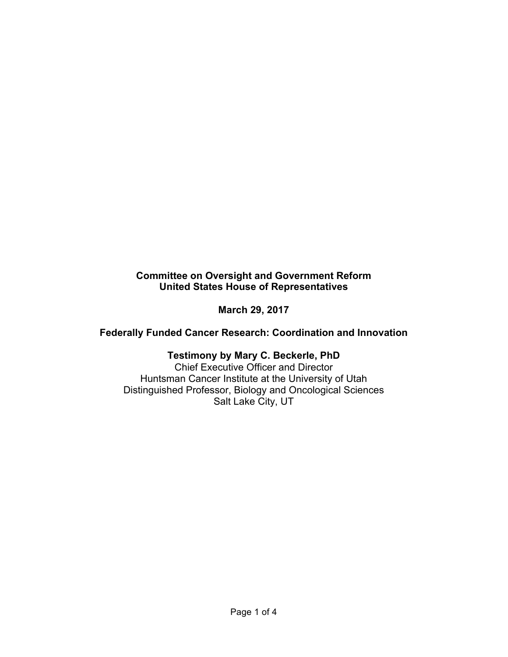## **Committee on Oversight and Government Reform United States House of Representatives**

**March 29, 2017**

**Federally Funded Cancer Research: Coordination and Innovation**

# **Testimony by Mary C. Beckerle, PhD**

Chief Executive Officer and Director Huntsman Cancer Institute at the University of Utah Distinguished Professor, Biology and Oncological Sciences Salt Lake City, UT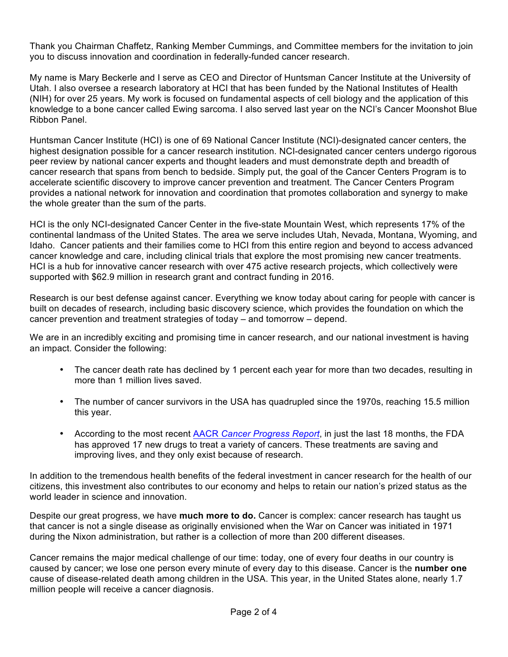Thank you Chairman Chaffetz, Ranking Member Cummings, and Committee members for the invitation to join you to discuss innovation and coordination in federally-funded cancer research.

My name is Mary Beckerle and I serve as CEO and Director of Huntsman Cancer Institute at the University of Utah. I also oversee a research laboratory at HCI that has been funded by the National Institutes of Health (NIH) for over 25 years. My work is focused on fundamental aspects of cell biology and the application of this knowledge to a bone cancer called Ewing sarcoma. I also served last year on the NCI's Cancer Moonshot Blue Ribbon Panel.

Huntsman Cancer Institute (HCI) is one of 69 National Cancer Institute (NCI)-designated cancer centers, the highest designation possible for a cancer research institution. NCI-designated cancer centers undergo rigorous peer review by national cancer experts and thought leaders and must demonstrate depth and breadth of cancer research that spans from bench to bedside. Simply put, the goal of the Cancer Centers Program is to accelerate scientific discovery to improve cancer prevention and treatment. The Cancer Centers Program provides a national network for innovation and coordination that promotes collaboration and synergy to make the whole greater than the sum of the parts.

HCI is the only NCI-designated Cancer Center in the five-state Mountain West, which represents 17% of the continental landmass of the United States. The area we serve includes Utah, Nevada, Montana, Wyoming, and Idaho. Cancer patients and their families come to HCI from this entire region and beyond to access advanced cancer knowledge and care, including clinical trials that explore the most promising new cancer treatments. HCI is a hub for innovative cancer research with over 475 active research projects, which collectively were supported with \$62.9 million in research grant and contract funding in 2016.

Research is our best defense against cancer. Everything we know today about caring for people with cancer is built on decades of research, including basic discovery science, which provides the foundation on which the cancer prevention and treatment strategies of today – and tomorrow – depend.

We are in an incredibly exciting and promising time in cancer research, and our national investment is having an impact. Consider the following:

- The cancer death rate has declined by 1 percent each year for more than two decades, resulting in more than 1 million lives saved.
- The number of cancer survivors in the USA has quadrupled since the 1970s, reaching 15.5 million this year.
- According to the most recent AACR *Cancer Progress Report*, in just the last 18 months, the FDA has approved 17 new drugs to treat a variety of cancers. These treatments are saving and improving lives, and they only exist because of research.

In addition to the tremendous health benefits of the federal investment in cancer research for the health of our citizens, this investment also contributes to our economy and helps to retain our nation's prized status as the world leader in science and innovation.

Despite our great progress, we have **much more to do.** Cancer is complex: cancer research has taught us that cancer is not a single disease as originally envisioned when the War on Cancer was initiated in 1971 during the Nixon administration, but rather is a collection of more than 200 different diseases.

Cancer remains the major medical challenge of our time: today, one of every four deaths in our country is caused by cancer; we lose one person every minute of every day to this disease. Cancer is the **number one** cause of disease-related death among children in the USA. This year, in the United States alone, nearly 1.7 million people will receive a cancer diagnosis.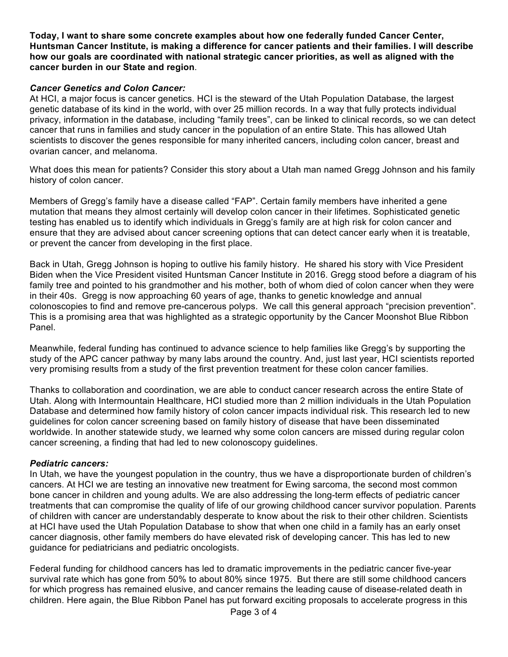**Today, I want to share some concrete examples about how one federally funded Cancer Center, Huntsman Cancer Institute, is making a difference for cancer patients and their families. I will describe how our goals are coordinated with national strategic cancer priorities, as well as aligned with the cancer burden in our State and region**.

### *Cancer Genetics and Colon Cancer:*

At HCI, a major focus is cancer genetics. HCI is the steward of the Utah Population Database, the largest genetic database of its kind in the world, with over 25 million records. In a way that fully protects individual privacy, information in the database, including "family trees", can be linked to clinical records, so we can detect cancer that runs in families and study cancer in the population of an entire State. This has allowed Utah scientists to discover the genes responsible for many inherited cancers, including colon cancer, breast and ovarian cancer, and melanoma.

What does this mean for patients? Consider this story about a Utah man named Gregg Johnson and his family history of colon cancer.

Members of Gregg's family have a disease called "FAP". Certain family members have inherited a gene mutation that means they almost certainly will develop colon cancer in their lifetimes. Sophisticated genetic testing has enabled us to identify which individuals in Gregg's family are at high risk for colon cancer and ensure that they are advised about cancer screening options that can detect cancer early when it is treatable, or prevent the cancer from developing in the first place.

Back in Utah, Gregg Johnson is hoping to outlive his family history. He shared his story with Vice President Biden when the Vice President visited Huntsman Cancer Institute in 2016. Gregg stood before a diagram of his family tree and pointed to his grandmother and his mother, both of whom died of colon cancer when they were in their 40s. Gregg is now approaching 60 years of age, thanks to genetic knowledge and annual colonoscopies to find and remove pre-cancerous polyps. We call this general approach "precision prevention". This is a promising area that was highlighted as a strategic opportunity by the Cancer Moonshot Blue Ribbon Panel.

Meanwhile, federal funding has continued to advance science to help families like Gregg's by supporting the study of the APC cancer pathway by many labs around the country. And, just last year, HCI scientists reported very promising results from a study of the first prevention treatment for these colon cancer families.

Thanks to collaboration and coordination, we are able to conduct cancer research across the entire State of Utah. Along with Intermountain Healthcare, HCI studied more than 2 million individuals in the Utah Population Database and determined how family history of colon cancer impacts individual risk. This research led to new guidelines for colon cancer screening based on family history of disease that have been disseminated worldwide. In another statewide study, we learned why some colon cancers are missed during regular colon cancer screening, a finding that had led to new colonoscopy guidelines.

#### *Pediatric cancers:*

In Utah, we have the youngest population in the country, thus we have a disproportionate burden of children's cancers. At HCI we are testing an innovative new treatment for Ewing sarcoma, the second most common bone cancer in children and young adults. We are also addressing the long-term effects of pediatric cancer treatments that can compromise the quality of life of our growing childhood cancer survivor population. Parents of children with cancer are understandably desperate to know about the risk to their other children. Scientists at HCI have used the Utah Population Database to show that when one child in a family has an early onset cancer diagnosis, other family members do have elevated risk of developing cancer. This has led to new guidance for pediatricians and pediatric oncologists.

Federal funding for childhood cancers has led to dramatic improvements in the pediatric cancer five-year survival rate which has gone from 50% to about 80% since 1975. But there are still some childhood cancers for which progress has remained elusive, and cancer remains the leading cause of disease-related death in children. Here again, the Blue Ribbon Panel has put forward exciting proposals to accelerate progress in this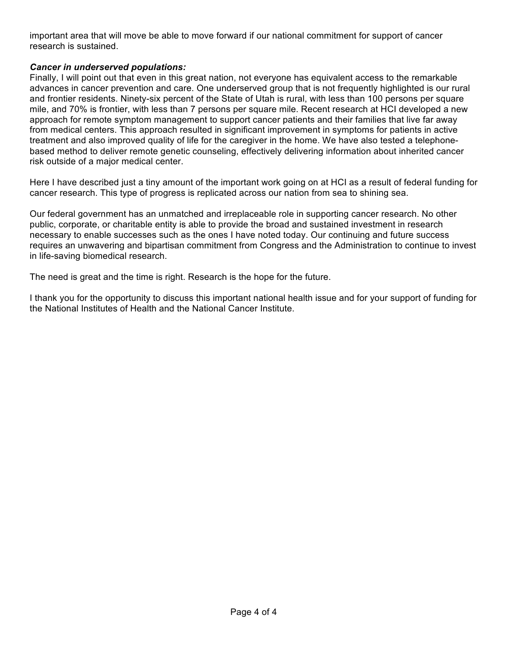important area that will move be able to move forward if our national commitment for support of cancer research is sustained.

## *Cancer in underserved populations:*

Finally, I will point out that even in this great nation, not everyone has equivalent access to the remarkable advances in cancer prevention and care. One underserved group that is not frequently highlighted is our rural and frontier residents. Ninety-six percent of the State of Utah is rural, with less than 100 persons per square mile, and 70% is frontier, with less than 7 persons per square mile. Recent research at HCI developed a new approach for remote symptom management to support cancer patients and their families that live far away from medical centers. This approach resulted in significant improvement in symptoms for patients in active treatment and also improved quality of life for the caregiver in the home. We have also tested a telephonebased method to deliver remote genetic counseling, effectively delivering information about inherited cancer risk outside of a major medical center.

Here I have described just a tiny amount of the important work going on at HCI as a result of federal funding for cancer research. This type of progress is replicated across our nation from sea to shining sea.

Our federal government has an unmatched and irreplaceable role in supporting cancer research. No other public, corporate, or charitable entity is able to provide the broad and sustained investment in research necessary to enable successes such as the ones I have noted today. Our continuing and future success requires an unwavering and bipartisan commitment from Congress and the Administration to continue to invest in life-saving biomedical research.

The need is great and the time is right. Research is the hope for the future.

I thank you for the opportunity to discuss this important national health issue and for your support of funding for the National Institutes of Health and the National Cancer Institute.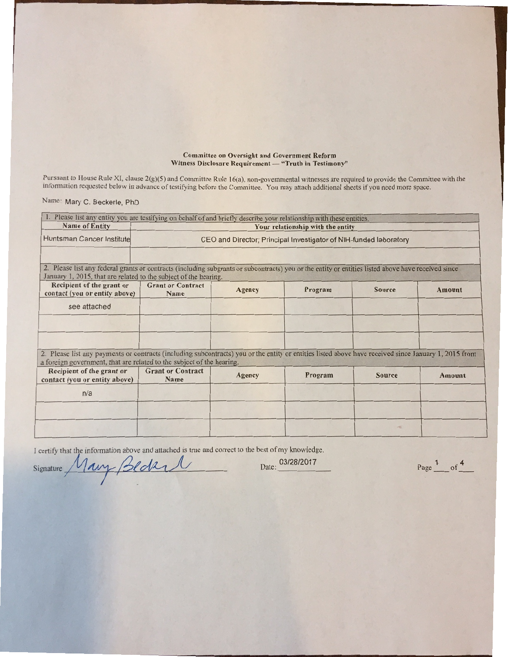#### **Committee on Oversight and Government Reform** Witness Disclosure Requirement - "Truth in Testimony"

Pursuant to House Rule XI, clause 2(g)(5) and Committee Rule 16(a), non-governmental witnesses are required to provide the Committee with the information requested below in advance of testifying before the Committee. You m

Name: Mary C. Beckerle, PhD

| 1. Please list any entity you are testifying on behalf of and briefly describe your relationship with these entities.                                                                                                          |                                                                   |        |         |               |               |  |  |  |  |
|--------------------------------------------------------------------------------------------------------------------------------------------------------------------------------------------------------------------------------|-------------------------------------------------------------------|--------|---------|---------------|---------------|--|--|--|--|
| <b>Name of Entity</b>                                                                                                                                                                                                          | Your relationship with the entity                                 |        |         |               |               |  |  |  |  |
| Huntsman Cancer Institute                                                                                                                                                                                                      | CEO and Director; Principal Investigator of NIH-funded laboratory |        |         |               |               |  |  |  |  |
|                                                                                                                                                                                                                                |                                                                   |        |         |               |               |  |  |  |  |
| 2. Please list any federal grants or contracts (including subgrants or subcontracts) you or the entity or entities listed above have received since<br>January 1, 2015, that are related to the subject of the hearing.        |                                                                   |        |         |               |               |  |  |  |  |
| Recipient of the grant or<br>contact (you or entity above)                                                                                                                                                                     | <b>Grant or Contract</b><br>Name                                  | Agency | Program | <b>Source</b> | Amount        |  |  |  |  |
| see attached                                                                                                                                                                                                                   |                                                                   |        |         |               |               |  |  |  |  |
|                                                                                                                                                                                                                                |                                                                   |        |         |               |               |  |  |  |  |
|                                                                                                                                                                                                                                |                                                                   |        |         |               |               |  |  |  |  |
| 2. Please list any payments or contracts (including subcontracts) you or the entity or entities listed above have received since January 1, 2015 from<br>a foreign government, that are related to the subject of the hearing. |                                                                   |        |         |               |               |  |  |  |  |
| Recipient of the grant or<br>contact (you or entity above)                                                                                                                                                                     | <b>Grant or Contract</b><br>Name                                  | Agency | Program | <b>Source</b> | <b>Amount</b> |  |  |  |  |
| n/a                                                                                                                                                                                                                            |                                                                   |        |         |               |               |  |  |  |  |
|                                                                                                                                                                                                                                |                                                                   |        |         |               |               |  |  |  |  |
|                                                                                                                                                                                                                                |                                                                   |        |         | H.            |               |  |  |  |  |
|                                                                                                                                                                                                                                |                                                                   |        |         |               |               |  |  |  |  |

I certify that the information above and attached is true and correct to the best of my knowledge.<br>Signature Mary Bedan Date: 03/28/2017

Page  $\frac{1}{\sqrt{1-\frac{1}{1-\frac{1}{1-\frac{1}{1-\frac{1}{1-\frac{1}{1-\frac{1}{1-\frac{1}{1-\frac{1}{1-\frac{1}{1-\frac{1}{1-\frac{1}{1-\frac{1}{1-\frac{1}{1-\frac{1}{1-\frac{1}{1-\frac{1}{1-\frac{1}{1-\frac{1}{1-\frac{1}{1-\frac{1}{1-\frac{1}{1-\frac{1}{1-\frac{1}{1-\frac{1}{1-\frac{1}{1-\frac{1}{1-\frac{1}{1-\frac{1}{1-\frac{1}{1-\frac{1}{1-\frac{1}{1-\frac{1}{1-\frac{1}{1-\frac{1}{1-\frac$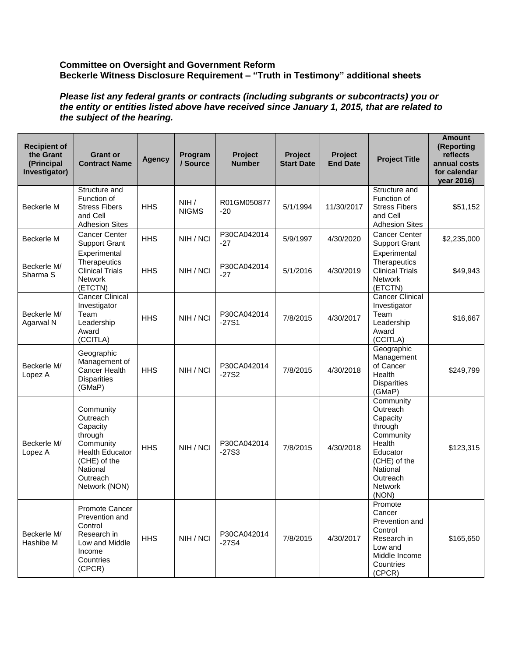### **Committee on Oversight and Government Reform Beckerle Witness Disclosure Requirement – "Truth in Testimony" additional sheets**

*Please list any federal grants or contracts (including subgrants or subcontracts) you or the entity or entities listed above have received since January 1, 2015, that are related to the subject of the hearing.* 

| <b>Recipient of</b><br>the Grant<br>(Principal<br>Investigator) | <b>Grant or</b><br><b>Contract Name</b>                                                                                                      | <b>Agency</b> | Program<br>/ Source  | Project<br><b>Number</b> | <b>Project</b><br><b>Start Date</b> | Project<br><b>End Date</b> | <b>Project Title</b>                                                                                                                               | <b>Amount</b><br>(Reporting<br>reflects<br>annual costs<br>for calendar<br>year 2016) |
|-----------------------------------------------------------------|----------------------------------------------------------------------------------------------------------------------------------------------|---------------|----------------------|--------------------------|-------------------------------------|----------------------------|----------------------------------------------------------------------------------------------------------------------------------------------------|---------------------------------------------------------------------------------------|
| Beckerle M                                                      | Structure and<br>Function of<br><b>Stress Fibers</b><br>and Cell<br><b>Adhesion Sites</b>                                                    | <b>HHS</b>    | NIH/<br><b>NIGMS</b> | R01GM050877<br>-20       | 5/1/1994                            | 11/30/2017                 | Structure and<br>Function of<br><b>Stress Fibers</b><br>and Cell<br><b>Adhesion Sites</b>                                                          | \$51,152                                                                              |
| Beckerle M                                                      | <b>Cancer Center</b><br><b>Support Grant</b>                                                                                                 | <b>HHS</b>    | NIH / NCI            | P30CA042014<br>$-27$     | 5/9/1997                            | 4/30/2020                  | <b>Cancer Center</b><br><b>Support Grant</b>                                                                                                       | \$2,235,000                                                                           |
| Beckerle M/<br>Sharma <sub>S</sub>                              | Experimental<br>Therapeutics<br><b>Clinical Trials</b><br><b>Network</b><br>(ETCTN)                                                          | <b>HHS</b>    | NIH / NCI            | P30CA042014<br>-27       | 5/1/2016                            | 4/30/2019                  | Experimental<br>Therapeutics<br><b>Clinical Trials</b><br><b>Network</b><br>(ETCTN)                                                                | \$49,943                                                                              |
| Beckerle M/<br>Agarwal N                                        | <b>Cancer Clinical</b><br>Investigator<br>Team<br>Leadership<br>Award<br>(CCITLA)                                                            | <b>HHS</b>    | NIH / NCI            | P30CA042014<br>$-27S1$   | 7/8/2015                            | 4/30/2017                  | <b>Cancer Clinical</b><br>Investigator<br>Team<br>Leadership<br>Award<br>(CCITLA)                                                                  | \$16,667                                                                              |
| Beckerle M/<br>Lopez A                                          | Geographic<br>Management of<br>Cancer Health<br><b>Disparities</b><br>(GMaP)                                                                 | <b>HHS</b>    | NIH / NCI            | P30CA042014<br>$-27S2$   | 7/8/2015                            | 4/30/2018                  | Geographic<br>Management<br>of Cancer<br>Health<br><b>Disparities</b><br>(GMaP)                                                                    | \$249,799                                                                             |
| Beckerle M/<br>Lopez A                                          | Community<br>Outreach<br>Capacity<br>through<br>Community<br><b>Health Educator</b><br>(CHE) of the<br>National<br>Outreach<br>Network (NON) | <b>HHS</b>    | NIH / NCI            | P30CA042014<br>$-27S3$   | 7/8/2015                            | 4/30/2018                  | Community<br>Outreach<br>Capacity<br>through<br>Community<br>Health<br>Educator<br>(CHE) of the<br>National<br>Outreach<br><b>Network</b><br>(NON) | \$123,315                                                                             |
| Beckerle M/<br>Hashibe M                                        | Promote Cancer<br>Prevention and<br>Control<br>Research in<br>Low and Middle<br>Income<br>Countries<br>(CPCR)                                | <b>HHS</b>    | NIH / NCI            | P30CA042014<br>$-27S4$   | 7/8/2015                            | 4/30/2017                  | Promote<br>Cancer<br>Prevention and<br>Control<br>Research in<br>Low and<br>Middle Income<br>Countries<br>(CPCR)                                   | \$165,650                                                                             |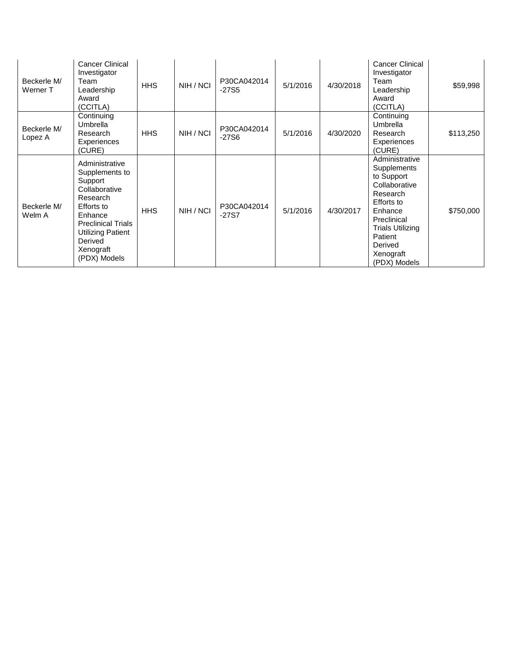| Beckerle M/<br>Werner T | <b>Cancer Clinical</b><br>Investigator<br>Team<br>Leadership<br>Award<br>(CCITLA)                                                                                                           | <b>HHS</b> | NIH / NCI | P30CA042014<br>$-27S5$ | 5/1/2016 | 4/30/2018 | Cancer Clinical<br>Investigator<br>Team<br>Leadership<br>Award<br>(CCITLA)                                                                                                                     | \$59,998  |
|-------------------------|---------------------------------------------------------------------------------------------------------------------------------------------------------------------------------------------|------------|-----------|------------------------|----------|-----------|------------------------------------------------------------------------------------------------------------------------------------------------------------------------------------------------|-----------|
| Beckerle M/<br>Lopez A  | Continuing<br>Umbrella<br>Research<br>Experiences<br>(CURE)                                                                                                                                 | <b>HHS</b> | NIH / NCI | P30CA042014<br>$-27S6$ | 5/1/2016 | 4/30/2020 | Continuing<br>Umbrella<br>Research<br>Experiences<br>(CURE)                                                                                                                                    | \$113,250 |
| Beckerle M/<br>Welm A   | Administrative<br>Supplements to<br>Support<br>Collaborative<br>Research<br>Efforts to<br>Enhance<br><b>Preclinical Trials</b><br>Utilizing Patient<br>Derived<br>Xenograft<br>(PDX) Models | <b>HHS</b> | NIH / NCI | P30CA042014<br>$-27S7$ | 5/1/2016 | 4/30/2017 | Administrative<br>Supplements<br>to Support<br>Collaborative<br>Research<br>Efforts to<br>Enhance<br>Preclinical<br><b>Trials Utilizing</b><br>Patient<br>Derived<br>Xenograft<br>(PDX) Models | \$750,000 |